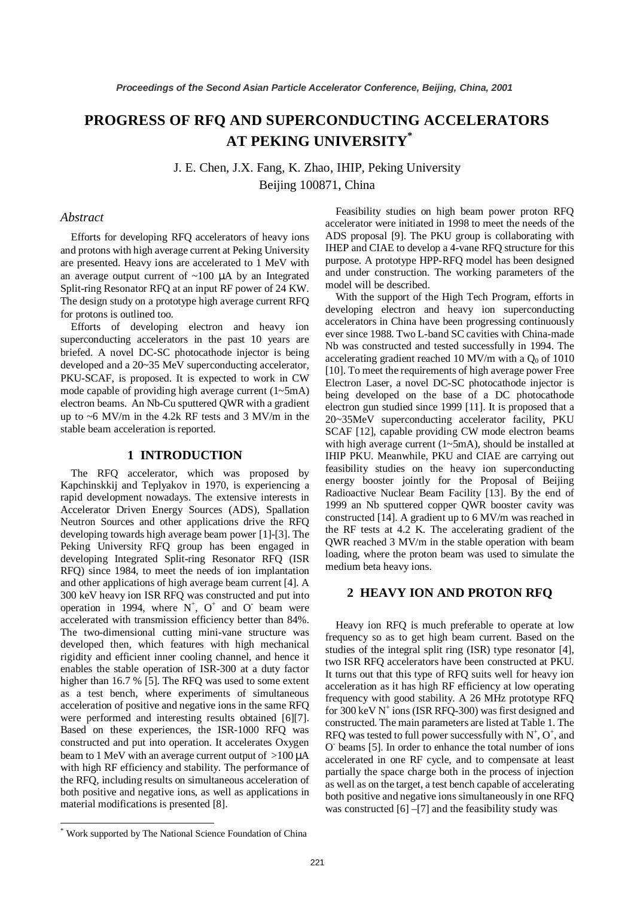# **PROGRESS OF RFQ AND SUPERCONDUCTING ACCELERATORS AT PEKING UNIVERSITY\***

J. E. Chen, J.X. Fang, K. Zhao, IHIP, Peking University Beijing 100871, China

# *Abstract*

Efforts for developing RFQ accelerators of heavy ions and protons with high average current at Peking University are presented. Heavy ions are accelerated to 1 MeV with an average output current of  $~100$   $~\mu$ A by an Integrated Split-ring Resonator RFQ at an input RF power of 24 KW. The design study on a prototype high average current RFQ for protons is outlined too.

Efforts of developing electron and heavy ion superconducting accelerators in the past 10 years are briefed. A novel DC-SC photocathode injector is being developed and a 20~35 MeV superconducting accelerator, PKU-SCAF, is proposed. It is expected to work in CW mode capable of providing high average current (1~5mA) electron beams. An Nb-Cu sputtered QWR with a gradient up to ~6 MV/m in the 4.2k RF tests and 3 MV/m in the stable beam acceleration is reported.

### **1 INTRODUCTION**

The RFQ accelerator, which was proposed by Kapchinskkij and Teplyakov in 1970, is experiencing a rapid development nowadays. The extensive interests in Accelerator Driven Energy Sources (ADS), Spallation Neutron Sources and other applications drive the RFQ developing towards high average beam power [1]-[3]. The Peking University RFQ group has been engaged in developing Integrated Split-ring Resonator RFQ (ISR RFQ) since 1984, to meet the needs of ion implantation and other applications of high average beam current [4]. A 300 keV heavy ion ISR RFQ was constructed and put into operation in 1994, where  $N^+$ ,  $O^+$  and  $O^-$  beam were accelerated with transmission efficiency better than 84%. The two-dimensional cutting mini-vane structure was developed then, which features with high mechanical rigidity and efficient inner cooling channel, and hence it enables the stable operation of ISR-300 at a duty factor higher than 16.7 % [5]. The RFQ was used to some extent as a test bench, where experiments of simultaneous acceleration of positive and negative ions in the same RFQ were performed and interesting results obtained [6][7]. Based on these experiences, the ISR-1000 RFQ was constructed and put into operation. It accelerates Oxygen beam to 1 MeV with an average current output of  $>100 \mu A$ with high RF efficiency and stability. The performance of the RFQ, including results on simultaneous acceleration of both positive and negative ions, as well as applications in material modifications is presented [8].

Feasibility studies on high beam power proton RFQ accelerator were initiated in 1998 to meet the needs of the ADS proposal [9]. The PKU group is collaborating with IHEP and CIAE to develop a 4-vane RFQ structure for this purpose. A prototype HPP-RFQ model has been designed and under construction. The working parameters of the model will be described.

With the support of the High Tech Program, efforts in developing electron and heavy ion superconducting accelerators in China have been progressing continuously ever since 1988. Two L-band SC cavities with China-made Nb was constructed and tested successfully in 1994. The accelerating gradient reached 10 MV/m with a  $Q_0$  of 1010 [10]. To meet the requirements of high average power Free Electron Laser, a novel DC-SC photocathode injector is being developed on the base of a DC photocathode electron gun studied since 1999 [11]. It is proposed that a 20~35MeV superconducting accelerator facility, PKU SCAF [12], capable providing CW mode electron beams with high average current (1~5mA), should be installed at IHIP PKU. Meanwhile, PKU and CIAE are carrying out feasibility studies on the heavy ion superconducting energy booster jointly for the Proposal of Beijing Radioactive Nuclear Beam Facility [13]. By the end of 1999 an Nb sputtered copper QWR booster cavity was constructed [14]. A gradient up to 6 MV/m was reached in the RF tests at 4.2 K. The accelerating gradient of the QWR reached 3 MV/m in the stable operation with beam loading, where the proton beam was used to simulate the medium beta heavy ions.

## **2 HEAVY ION AND PROTON RFQ**

Heavy ion RFQ is much preferable to operate at low frequency so as to get high beam current. Based on the studies of the integral split ring (ISR) type resonator [4], two ISR RFQ accelerators have been constructed at PKU. It turns out that this type of RFQ suits well for heavy ion acceleration as it has high RF efficiency at low operating frequency with good stability. A 26 MHz prototype RFQ for 300 keV  $N^+$  ions (ISR RFQ-300) was first designed and constructed. The main parameters are listed at Table 1. The RFQ was tested to full power successfully with  $N^+$ ,  $O^+$ , and O- beams [5]. In order to enhance the total number of ions accelerated in one RF cycle, and to compensate at least partially the space charge both in the process of injection as well as on the target, a test bench capable of accelerating both positive and negative ions simultaneously in one RFQ was constructed  $[6]$  –[7] and the feasibility study was

<sup>\*</sup> Work supported by The National Science Foundation of China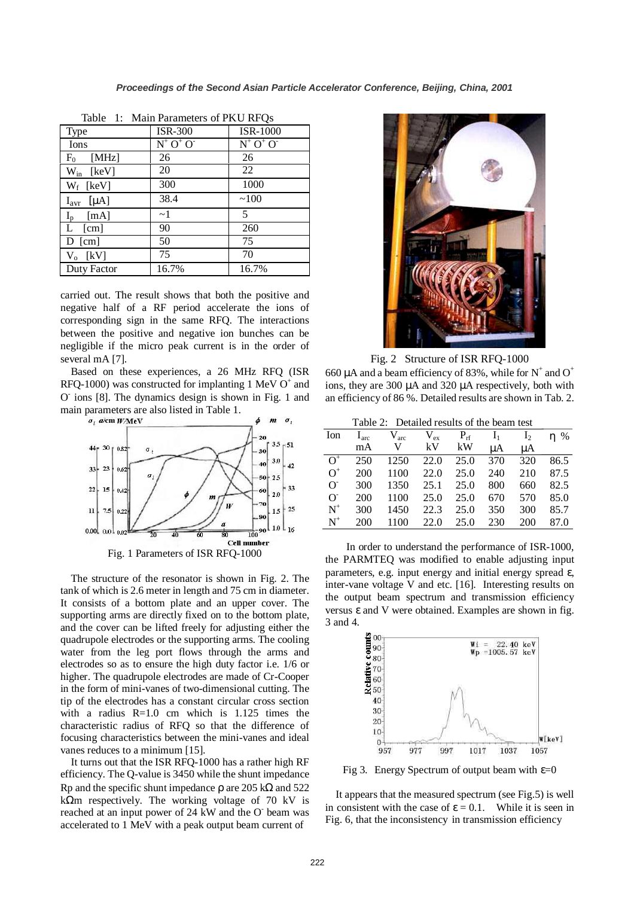| <b>Type</b>                 | <b>ISR-300</b> | <b>ISR-1000</b>                     |  |  |  |
|-----------------------------|----------------|-------------------------------------|--|--|--|
| Ions                        | $N^+ O^+ O^-$  | $N^+$ O <sup>+</sup> O <sup>+</sup> |  |  |  |
| [MHz]<br>$\mathrm{F}_0$     | 26             | 26                                  |  |  |  |
| $W_{in}$ [keV]              | 20             | 22                                  |  |  |  |
| $W_f$ [keV]                 | 300            | 1000                                |  |  |  |
| $I_{\text{avr}}$ [ $\mu$ A] | 38.4           | ~100                                |  |  |  |
| $I_{p}$<br>[mA]             | $\sim$ 1       | 5                                   |  |  |  |
| $L$ [cm]                    | 90             | 260                                 |  |  |  |
| $D$ [cm]                    | 50             | 75                                  |  |  |  |
| $V_o$ [kV]                  | 75             | 70                                  |  |  |  |
| Duty Factor                 | 16.7%          | 16.7%                               |  |  |  |

Table 1: Main Parameters of PKU RFQs

carried out. The result shows that both the positive and negative half of a RF period accelerate the ions of corresponding sign in the same RFQ. The interactions between the positive and negative ion bunches can be negligible if the micro peak current is in the order of several mA [7].

Based on these experiences, a 26 MHz RFQ (ISR RFQ-1000) was constructed for implanting 1 MeV  $O^+$  and O- ions [8]. The dynamics design is shown in Fig. 1 and main parameters are also listed in Table 1.



The structure of the resonator is shown in Fig. 2. The tank of which is 2.6 meter in length and 75 cm in diameter. It consists of a bottom plate and an upper cover. The supporting arms are directly fixed on to the bottom plate, and the cover can be lifted freely for adjusting either the quadrupole electrodes or the supporting arms. The cooling water from the leg port flows through the arms and electrodes so as to ensure the high duty factor i.e. 1/6 or higher. The quadrupole electrodes are made of Cr-Cooper in the form of mini-vanes of two-dimensional cutting. The tip of the electrodes has a constant circular cross section with a radius R=1.0 cm which is 1.125 times the characteristic radius of RFQ so that the difference of focusing characteristics between the mini-vanes and ideal vanes reduces to a minimum [15].

It turns out that the ISR RFQ-1000 has a rather high RF efficiency. The Q-value is 3450 while the shunt impedance Rp and the specific shunt impedance  $\rho$  are 205 k $\Omega$  and 522 k $\Omega$ m respectively. The working voltage of 70 kV is reached at an input power of 24 kW and the O beam was accelerated to 1 MeV with a peak output beam current of



Fig. 2 Structure of ISR RFQ-1000

660  $\mu$ A and a beam efficiency of 83%, while for N<sup>+</sup> and O<sup>+</sup> ions, they are 300 µA and 320 µA respectively, both with an efficiency of 86 %. Detailed results are shown in Tab. 2.

|  |  | Table 2: Detailed results of the beam test |  |  |  |
|--|--|--------------------------------------------|--|--|--|
|--|--|--------------------------------------------|--|--|--|

| Ion      | $I_{\text{arc}}$ | $V_{\rm arc}$ | $V_{ex}$ | $P_{\rm rf}$ | $I_1$ | $I_2$ | $\eta$ % |
|----------|------------------|---------------|----------|--------------|-------|-------|----------|
|          | mA               | V             | kV.      | kW.          | uA    | μA    |          |
| $O^+$    | 250              | 1250          | 22.0     | 25.0         | 370   | 320   | 86.5     |
| $O^+$    | 200              | 1100          | 22.0     | 25.0         | 240   | 210   | 87.5     |
| $\sigma$ | 300              | 1350          | 25.1     | 25.0         | 800   | 660   | 82.5     |
| $\Omega$ | 200              | 1100          | 25.0     | 25.0         | 670   | 570   | 85.0     |
| $N^+$    | 300              | 1450          | 22.3     | 25.0         | 350   | 300   | 85.7     |
| $N^+$    | 200              | 1100          | 22.0     | 25.0         | 230   | 200   | 87.0     |
|          |                  |               |          |              |       |       |          |

In order to understand the performance of ISR-1000, the PARMTEQ was modified to enable adjusting input parameters, e.g. input energy and initial energy spread ε, inter-vane voltage V and etc. [16]. Interesting results on the output beam spectrum and transmission efficiency versus ε and V were obtained. Examples are shown in fig. 3 and 4.



Fig 3. Energy Spectrum of output beam with  $\varepsilon=0$ 

It appears that the measured spectrum (see Fig.5) is well in consistent with the case of  $\varepsilon = 0.1$ . While it is seen in Fig. 6, that the inconsistency in transmission efficiency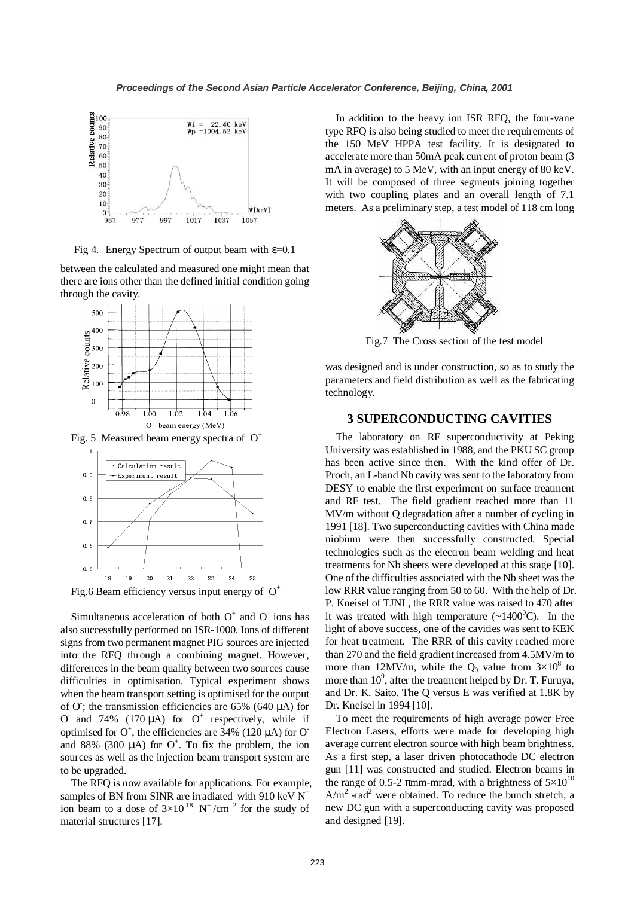

Fig 4. Energy Spectrum of output beam with  $\varepsilon$ =0.1

between the calculated and measured one might mean that there are ions other than the defined initial condition going through the cavity.



Fig. 5 Measured beam energy spectra of  $O<sup>+</sup>$ 



Fig.6 Beam efficiency versus input energy of  $O^+$ 

Simultaneous acceleration of both  $O^+$  and  $O^-$  ions has also successfully performed on ISR-1000. Ions of different signs from two permanent magnet PIG sources are injected into the RFQ through a combining magnet. However, differences in the beam quality between two sources cause difficulties in optimisation. Typical experiment shows when the beam transport setting is optimised for the output of  $O$ ; the transmission efficiencies are 65% (640  $\mu$ A) for O and 74% (170  $\mu$ A) for O<sup>+</sup> respectively, while if optimised for  $O^+$ , the efficiencies are 34% (120  $\mu$ A) for O<sup>-</sup> and 88% (300  $\mu$ A) for O<sup>+</sup>. To fix the problem, the ion sources as well as the injection beam transport system are to be upgraded.

The RFQ is now available for applications. For example, samples of BN from SINR are irradiated with 910 keV  $N^+$ ion beam to a dose of  $3\times10^{18}$  N<sup>+</sup>/cm<sup>2</sup> for the study of material structures [17].

In addition to the heavy ion ISR RFQ, the four-vane type RFQ is also being studied to meet the requirements of the 150 MeV HPPA test facility. It is designated to accelerate more than 50mA peak current of proton beam (3 mA in average) to 5 MeV, with an input energy of 80 keV. It will be composed of three segments joining together with two coupling plates and an overall length of 7.1 meters. As a preliminary step, a test model of 118 cm long



Fig.7 The Cross section of the test model

was designed and is under construction, so as to study the parameters and field distribution as well as the fabricating technology.

# **3 SUPERCONDUCTING CAVITIES**

The laboratory on RF superconductivity at Peking University was established in 1988, and the PKU SC group has been active since then. With the kind offer of Dr. Proch, an L-band Nb cavity was sent to the laboratory from DESY to enable the first experiment on surface treatment and RF test. The field gradient reached more than 11 MV/m without Q degradation after a number of cycling in 1991 [18]. Two superconducting cavities with China made niobium were then successfully constructed. Special technologies such as the electron beam welding and heat treatments for Nb sheets were developed at this stage [10]. One of the difficulties associated with the Nb sheet was the low RRR value ranging from 50 to 60. With the help of Dr. P. Kneisel of TJNL, the RRR value was raised to 470 after it was treated with high temperature  $(\sim 1400^{\circ}C)$ . In the light of above success, one of the cavities was sent to KEK for heat treatment. The RRR of this cavity reached more than 270 and the field gradient increased from 4.5MV/m to more than 12MV/m, while the  $Q_0$  value from  $3\times10^8$  to more than  $10^9$ , after the treatment helped by Dr. T. Furuya, and Dr. K. Saito. The Q versus E was verified at 1.8K by Dr. Kneisel in 1994 [10].

To meet the requirements of high average power Free Electron Lasers, efforts were made for developing high average current electron source with high beam brightness. As a first step, a laser driven photocathode DC electron gun [11] was constructed and studied. Electron beams in the range of 0.5-2  $\pi$ mm-mrad, with a brightness of  $5\times10^{10}$  $A/m<sup>2</sup>$  -rad<sup>2</sup> were obtained. To reduce the bunch stretch, a new DC gun with a superconducting cavity was proposed and designed [19].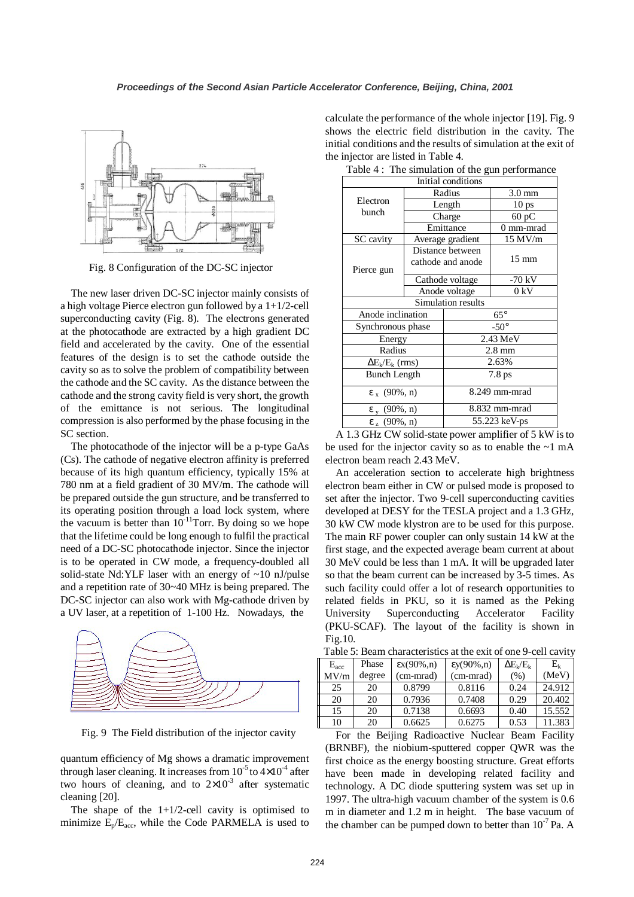

Fig. 8 Configuration of the DC-SC injector

The new laser driven DC-SC injector mainly consists of a high voltage Pierce electron gun followed by a  $1+1/2$ -cell superconducting cavity (Fig. 8). The electrons generated at the photocathode are extracted by a high gradient DC field and accelerated by the cavity. One of the essential features of the design is to set the cathode outside the cavity so as to solve the problem of compatibility between the cathode and the SC cavity. As the distance between the cathode and the strong cavity field is very short, the growth of the emittance is not serious. The longitudinal compression is also performed by the phase focusing in the SC section.

The photocathode of the injector will be a p-type GaAs (Cs). The cathode of negative electron affinity is preferred because of its high quantum efficiency, typically 15% at 780 nm at a field gradient of 30 MV/m. The cathode will be prepared outside the gun structure, and be transferred to its operating position through a load lock system, where the vacuum is better than  $10^{-11}$ Torr. By doing so we hope that the lifetime could be long enough to fulfil the practical need of a DC-SC photocathode injector. Since the injector is to be operated in CW mode, a frequency-doubled all solid-state Nd:YLF laser with an energy of ~10 nJ/pulse and a repetition rate of 30~40 MHz is being prepared. The DC-SC injector can also work with Mg-cathode driven by a UV laser, at a repetition of 1-100 Hz. Nowadays, the



Fig. 9 The Field distribution of the injector cavity

quantum efficiency of Mg shows a dramatic improvement through laser cleaning. It increases from  $10^{-5}$  to  $4\times10^{-4}$  after two hours of cleaning, and to  $2\times10^{-3}$  after systematic cleaning [20].

The shape of the  $1+1/2$ -cell cavity is optimised to minimize  $E_p/E_{\text{acc}}$ , while the Code PARMELA is used to calculate the performance of the whole injector [19]. Fig. 9 shows the electric field distribution in the cavity. The initial conditions and the results of simulation at the exit of the injector are listed in Table 4.

|                         |                                       |                    | $\frac{1}{2}$ or the gain perform |  |
|-------------------------|---------------------------------------|--------------------|-----------------------------------|--|
| Initial conditions      |                                       |                    |                                   |  |
|                         | Radius                                |                    | $3.0 \text{ mm}$                  |  |
| Electron                | Length                                |                    | 10 <sub>ps</sub>                  |  |
| bunch                   |                                       | Charge             | 60 pC                             |  |
|                         |                                       | Emittance          | 0 mm-mrad                         |  |
| SC cavity               | Average gradient                      |                    | 15 MV/m                           |  |
| Pierce gun              | Distance between<br>cathode and anode |                    | $15 \text{ mm}$                   |  |
|                         | Cathode voltage                       |                    | $-70$ kV                          |  |
|                         | Anode voltage                         |                    | 0 kV                              |  |
|                         |                                       | Simulation results |                                   |  |
| Anode inclination       |                                       | $65^{\circ}$       |                                   |  |
| Synchronous phase       |                                       |                    | $-50^\circ$                       |  |
| Energy                  |                                       | $2.43 \text{ MeV}$ |                                   |  |
| Radius                  |                                       | $2.8 \text{ mm}$   |                                   |  |
| $\Delta E_k/E_k$ (rms)  |                                       | 2.63%              |                                   |  |
| <b>Bunch Length</b>     |                                       | $7.8$ ps           |                                   |  |
| $\epsilon_{x}$ (90%, n) |                                       | 8.249 mm-mrad      |                                   |  |
| $\epsilon_{v}$ (90%, n) |                                       | 8.832 mm-mrad      |                                   |  |
| $\epsilon_{z}$ (90%, n) |                                       | 55.223 keV-ps      |                                   |  |

Table4: The simulation of the gun performance

A 1.3 GHz CW solid-state power amplifier of 5 kW is to be used for the injector cavity so as to enable the  $\sim$ 1 mA electron beam reach 2.43 MeV.

An acceleration section to accelerate high brightness electron beam either in CW or pulsed mode is proposed to set after the injector. Two 9-cell superconducting cavities developed at DESY for the TESLA project and a 1.3 GHz, 30 kW CW mode klystron are to be used for this purpose. The main RF power coupler can only sustain 14 kW at the first stage, and the expected average beam current at about 30 MeV could be less than 1 mA. It will be upgraded later so that the beam current can be increased by 3-5 times. As such facility could offer a lot of research opportunities to related fields in PKU, so it is named as the Peking University Superconducting Accelerator Facility (PKU-SCAF). The layout of the facility is shown in Fig.10.

|  | Table 5: Beam characteristics at the exit of one 9-cell cavity |  |  |  |
|--|----------------------------------------------------------------|--|--|--|
|--|----------------------------------------------------------------|--|--|--|

| $E_{\rm acc}$ | Phase  | $\mathsf{ex}(90\%, n)$ | $\epsilon y(90\%, n)$ | $\Delta E_k/E_k$ | $E_{k}$ |
|---------------|--------|------------------------|-----------------------|------------------|---------|
| MV/m          | degree | (cm-mrad)              | (cm-mrad)             | (% )             | (MeV)   |
| 25            | 20     | 0.8799                 | 0.8116                | 0.24             | 24.912  |
| 20            | 20     | 0.7936                 | 0.7408                | 0.29             | 20.402  |
| 15            | 20     | 0.7138                 | 0.6693                | 0.40             | 15.552  |
| 10            | 20     | 0.6625                 | 0.6275                | 0.53             | 11.383  |

For the Beijing Radioactive Nuclear Beam Facility (BRNBF), the niobium-sputtered copper QWR was the first choice as the energy boosting structure. Great efforts have been made in developing related facility and technology. A DC diode sputtering system was set up in 1997. The ultra-high vacuum chamber of the system is 0.6 m in diameter and 1.2 m in height. The base vacuum of the chamber can be pumped down to better than  $10^{-7}$  Pa. A